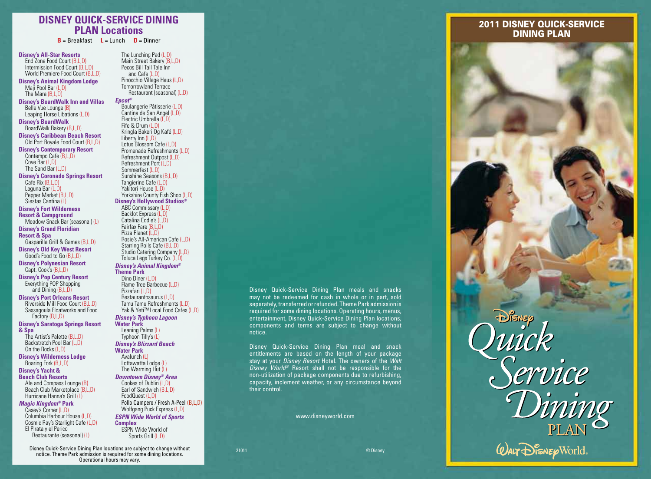### **DISNEY QUICK-SERVICE DINING PLAN Locations**

**B** = Breakfast **L** = Lunch **D** = Dinner

**Disney's All-Star Resorts** End Zone Food Court (B,L,D) Intermission Food Court (B,L,D) World Premiere Food Court (B,L,D) **Disney's Animal Kingdom Lodge** Maji Pool Bar (L,D) The Mara (B.L.D)

**Disney's BoardWalk Inn and Villas** Belle Vue Lounge (B) Leaping Horse Libations (L,D)

**Disney's BoardWalk**  BoardWalk Bakery (B,L,D)

**Disney's Caribbean Beach Resort** Old Port Royale Food Court (B,L,D)

**Disney's Contemporary Resort**  Contempo Cafe (B,L,D) Cove Bar (L,D)

 The Sand Bar (L,D) **Disney's Coronado Springs Resort** Cafe Rix (B,L,D)

 Laguna Bar (L,D) Pepper Market (B,L,D)

 Siestas Cantina (L) **Disney's Fort Wilderness** 

**Resort & Campground** Meadow Snack Bar (seasonal) (L)

**Disney's Grand Floridian Resort & Spa**

 Gasparilla Grill & Games (B,L,D) **Disney's Old Key West Resort**

 Good's Food to Go (B,L,D)

**Disney's Polynesian Resort** Capt. Cook's (B,L,D)

**Disney's Pop Century Resort** Everything POP Shopping and Dining (B,L,D)

**Disney's Port Orleans Resort** Riverside Mill Food Court (B,L,D) Sassagoula Floatworks and Food

 Factory (B,L,D) **Disney's Saratoga Springs Resort & Spa**

 The Artist's Palette (B,L,D) Backstretch Pool Bar (L,D) On the Rocks (L,D)

**Disney's Wilderness Lodge** Roaring Fork (B,L,D)

#### **Disney's Yacht &**

**Beach Club Resorts** Ale and Compass Lounge (B) Beach Club Marketplace (B.L.D) Hurricane Hanna's Grill (L)

#### *Magic Kingdom®* **Park**

 Casey's Corner (L,D) Columbia Harbour House (L,D) Cosmic Ray's Starlight Cafe (L,D) El Pirata y el Perico Restaurante (seasonal) (L)

 The Lunching Pad (L,D) Main Street Bakery (B,L,D) Pecos Bill Tall Tale Inn and Cafe (L,D) Pinocchio Village Haus (L,D) Tomorrowland Terrace Restaurant (seasonal) (L,D)

#### *Epcot®*

 Boulangerie Pâtisserie (L,D) Cantina de San Angel (L,D) Electric Umbrella (L,D) Fife & Drum (L,D) Kringla Bakeri Og Kafé (L,D) Liberty Inn (L,D) Lotus Blossom Cafe (L,D) Promenade Refreshments (L,D) Refreshment Outpost (L,D) Refreshment Port (L,D) Sommerfest (L,D) Sunshine Seasons (B,L,D) Tangierine Cafe (L,D) Yakitori House (L,D) Yorkshire County Fish Shop (L,D) **Disney's Hollywood Studios®** ABC Commissary (L,D) Backlot Express (L,D) Catalina Eddie's (L,D) Fairfax Fare (B,L,D) Pizza Planet (L,D) Rosie's All-American Cafe (L,D) Starring Rolls Cafe (B,L,D) Studio Catering Company (L,D) Toluca Legs Turkey Co. (L,D)

#### *Disney's Animal Kingdom®* **Theme Park**

 Dino Diner (L,D) Flame Tree Barbecue (L,D) Pizzafari (L,D) Restaurantosaurus (L,D) Tamu Tamu Refreshments (L,D) Yak & Yeti™ Local Food Cafes (L,D)

#### *Disney's Typhoon Lagoon*

**Water Park** Leaning Palms (L) Typhoon Tilly's (L) *Disney's Blizzard Beach* 

**Water Park** Avalunch (L)

 Lottawatta Lodge (L) The Warming Hut  $(L)$ 

#### *Downtown Disney® Area*

 Cookes of Dublin (L,D) Earl of Sandwich (B.L.D) FoodQuest (L,D) Pollo Campero / Fresh A-Peel (B,L,D) Wolfgang Puck Express (L,D)

#### *ESPN Wide World of Sports*

**Complex** ESPN Wide World of Sports Grill (L,D)

Disney Quick-Service Dining Plan locations are subject to change without notice. Theme Park admission is required for some dining locations. Operational hours may vary.

Disney Quick-Service Dining Plan meals and snacks may not be redeemed for cash in whole or in part, sold separately, transferred or refunded. Theme Park admission is required for some dining locations. Operating hours, menus, entertainment, Disney Quick-Service Dining Plan locations, components and terms are subject to change without notice.

Disney Quick-Service Dining Plan meal and snack entitlements are based on the length of your package stay at your *Disney Resort* Hotel. The owners of the *Walt Disney World®* Resort shall not be responsible for the non-utilization of package components due to refurbishing, capacity, inclement weather, or any circumstance beyond their control.

www.disneyworld.com

#### 2011 DISNEY QUICK-SERVICE DINING PLAN



21011 © Disney